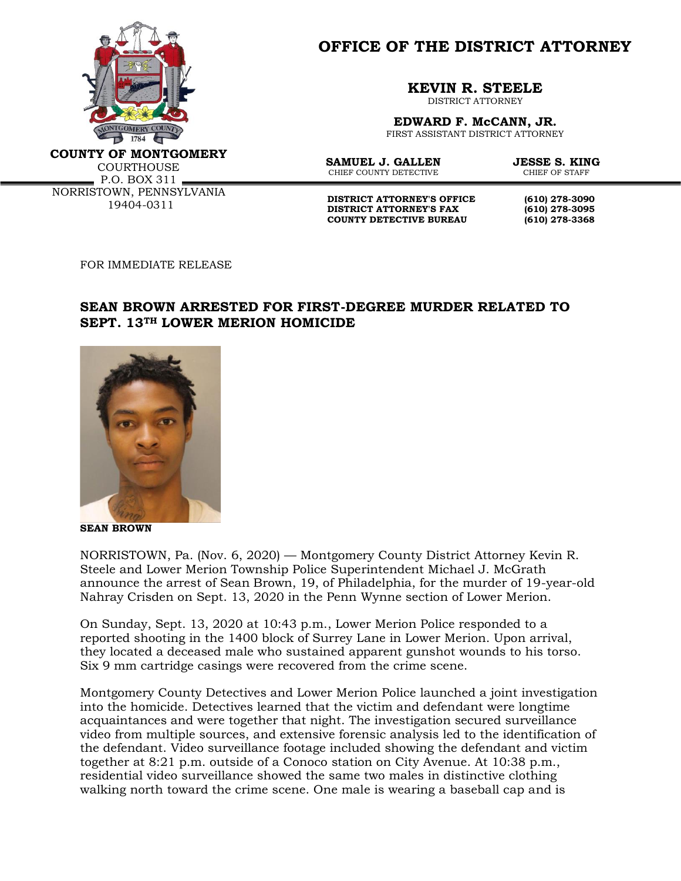

**OFFICE OF THE DISTRICT ATTORNEY**

**KEVIN R. STEELE**

DISTRICT ATTORNEY

**EDWARD F. McCANN, JR.** FIRST ASSISTANT DISTRICT ATTORNEY

**COUNTY OF MONTGOMERY**

**COURTHOUSE**  $P.0. BOX 311$ NORRISTOWN, PENNSYLVANIA 19404-0311

**SAMUEL J. GALLEN JESSE S. KING**<br>CHIEF COUNTY DETECTIVE CHIEF OF STAFF CHIEF COUNTY DETECTIVE

**DISTRICT ATTORNEY'S OFFICE** (610) 278-3090<br>DISTRICT ATTORNEY'S FAX (610) 278-3095 **DISTRICT ATTORNEY'S FAX COUNTY DETECTIVE BUREAU (610) 278-3368**

FOR IMMEDIATE RELEASE

## **SEAN BROWN ARRESTED FOR FIRST-DEGREE MURDER RELATED TO SEPT. 13TH LOWER MERION HOMICIDE**



**SEAN BROWN**

NORRISTOWN, Pa. (Nov. 6, 2020) — Montgomery County District Attorney Kevin R. Steele and Lower Merion Township Police Superintendent Michael J. McGrath announce the arrest of Sean Brown, 19, of Philadelphia, for the murder of 19-year-old Nahray Crisden on Sept. 13, 2020 in the Penn Wynne section of Lower Merion.

On Sunday, Sept. 13, 2020 at 10:43 p.m., Lower Merion Police responded to a reported shooting in the 1400 block of Surrey Lane in Lower Merion. Upon arrival, they located a deceased male who sustained apparent gunshot wounds to his torso. Six 9 mm cartridge casings were recovered from the crime scene.

Montgomery County Detectives and Lower Merion Police launched a joint investigation into the homicide. Detectives learned that the victim and defendant were longtime acquaintances and were together that night. The investigation secured surveillance video from multiple sources, and extensive forensic analysis led to the identification of the defendant. Video surveillance footage included showing the defendant and victim together at 8:21 p.m. outside of a Conoco station on City Avenue. At 10:38 p.m., residential video surveillance showed the same two males in distinctive clothing walking north toward the crime scene. One male is wearing a baseball cap and is